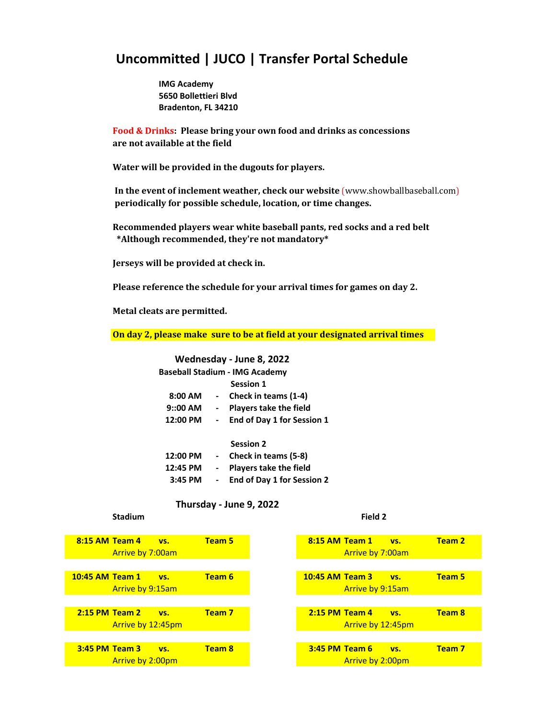# **Uncommitted | JUCO | Transfer Portal Schedule**

**IMG Academy 5650 Bollettieri Blvd Bradenton, FL 34210**

**Food & Drinks: Please bring your own food and drinks as concessions are not available at the field**

**Water will be provided in the dugouts for players.**

 **In the event of inclement weather, check our website** (www.showballbaseball.com)  **periodically for possible schedule, location, or time changes.**

**Recommended players wear white baseball pants, red socks and a red belt \*Although recommended, they're not mandatory\***

**Jerseys will be provided at check in.**

**Please reference the schedule for your arrival times for games on day 2.**

**Metal cleats are permitted.**

**On day 2, please make sure to be at field at your designated arrival times**

## **Wednesday - June 8, 2022**

|           | <b>Baseball Stadium - IMG Academy</b> |
|-----------|---------------------------------------|
|           | <b>Session 1</b>                      |
| $8:00$ AM | - Check in teams (1-4)                |
| $9:00$ AM | <b>Players take the field</b>         |
| 12:00 PM  | End of Day 1 for Session 1            |
|           |                                       |

#### **Session 2**

| 12:00 PM | $\sim$                   | Check in teams (5-8)          |
|----------|--------------------------|-------------------------------|
| 12:45 PM | $\overline{\phantom{a}}$ | <b>Players take the field</b> |
| 3:45 PM  | $\blacksquare$           | End of Day 1 for Session 2    |

# **Thursday - June 9, 2022**

### **Stadium Field 2**

| 8:15 AM Team 4<br><b>Team 5</b><br><b>VS.</b>         |
|-------------------------------------------------------|
| Arrive by 7:00am                                      |
|                                                       |
| Team 6<br><b>10:45 AM Team 1</b><br>VS.               |
| Arrive by 9:15am                                      |
|                                                       |
| Team <sub>7</sub><br>$2:15$ PM Team $2$<br><b>VS.</b> |
| Arrive by 12:45pm                                     |
|                                                       |
| Team 8<br>3:45 PM Team 3<br>VS.                       |
|                                                       |